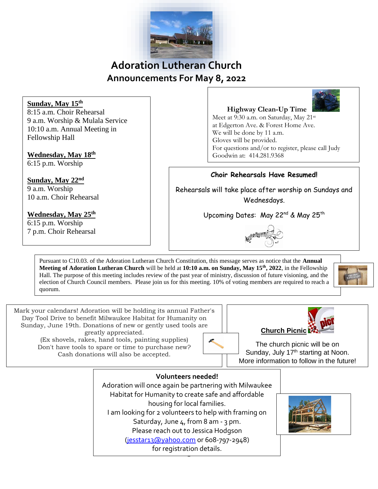

# **Adoration Lutheran Church Announcements For May 8, 2022**

**Sunday, May 15th** 8:15 a.m. Choir Rehearsal 9 a.m. Worship & Mulala Service 10:10 a.m. Annual Meeting in Fellowship Hall

## **Wednesday, May 18th**

6:15 p.m. Worship

**Sunday, May 22nd**  9 a.m. Worship 10 a.m. Choir Rehearsal

**Wednesday, May 25th** 6:15 p.m. Worship 7 p.m. Choir Rehearsal

### **Highway Clean-Up Time**

Meet at 9:30 a.m. on Saturday, May 21<sup>st</sup> at Edgerton Ave. & Forest Home Ave. We will be done by 11 a.m. Gloves will be provided. For questions and/or to register, please call Judy Goodwin at: 414.281.9368

### **Choir Rehearsals Have Resumed!**

Rehearsals will take place after worship on Sundays and Wednesdays.

Upcoming Dates: May 22<sup>nd</sup> & May 25<sup>th</sup>



Pursuant to C10.03. of the Adoration Lutheran Church Constitution, this message serves as notice that the **Annual Meeting of Adoration Lutheran Church** will be held at **10:10 a.m. on Sunday, May 15th , 2022**, in the Fellowship Hall. The purpose of this meeting includes review of the past year of ministry, discussion of future visioning, and the election of Church Council members. Please join us for this meeting. 10% of voting members are required to reach a quorum.



Mark your calendars! Adoration will be holding its annual Father's Day Tool Drive to benefit Milwaukee Habitat for Humanity on Sunday, June 19th. Donations of new or gently used tools are greatly appreciated.

(Ex shovels, rakes, hand tools, painting supplies) Don't have tools to spare or time to purchase new? Cash donations will also be accepted.

The church picnic will be on Sunday, July 17<sup>th</sup> starting at Noon. More information to follow in the future!

**Church Picnic**